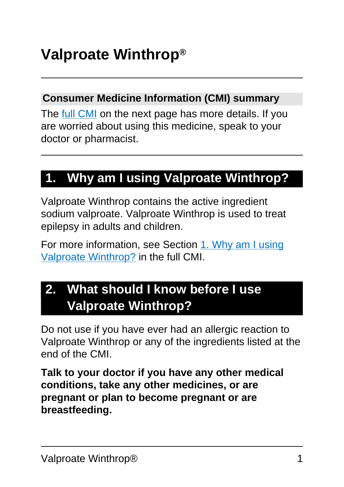#### **Consumer Medicine Information (CMI) summary**

The [full CMI](#page-5-0) on the next page has more details. If you are worried about using this medicine, speak to your doctor or pharmacist.

## **1. Why am I using Valproate Winthrop?**

Valproate Winthrop contains the active ingredient sodium valproate. Valproate Winthrop is used to treat epilepsy in adults and children.

For more information, see Section [1. Why am I using](#page-5-1) [Valproate Winthrop?](#page-5-1) in the full CMI.

## **2. What should I know before I use Valproate Winthrop?**

Do not use if you have ever had an allergic reaction to Valproate Winthrop or any of the ingredients listed at the end of the CMI.

**Talk to your doctor if you have any other medical conditions, take any other medicines, or are pregnant or plan to become pregnant or are breastfeeding.**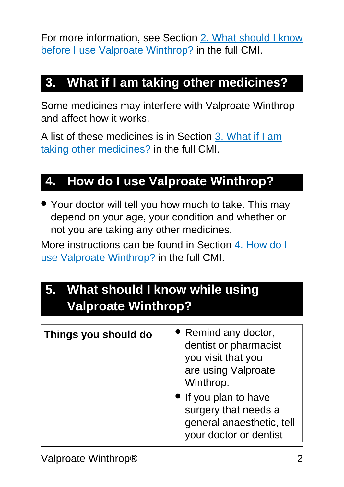For more information, see Section [2. What should I know](#page-6-0) [before I use Valproate Winthrop?](#page-6-0) in the full CMI.

## **3. What if I am taking other medicines?**

Some medicines may interfere with Valproate Winthrop and affect how it works.

A list of these medicines is in Section [3. What if I am](#page-10-0) [taking other medicines?](#page-10-0) in the full CMI.

## **4. How do I use Valproate Winthrop?**

• Your doctor will tell you how much to take. This may depend on your age, your condition and whether or not you are taking any other medicines.

More instructions can be found in Section [4. How do I](#page-12-0) [use Valproate Winthrop?](#page-12-0) in the full CMI.

## **5. What should I know while using Valproate Winthrop?**

| Things you should do | • Remind any doctor,<br>dentist or pharmacist<br>you visit that you<br>are using Valproate<br>Winthrop. |
|----------------------|---------------------------------------------------------------------------------------------------------|
|                      | • If you plan to have<br>surgery that needs a<br>general anaesthetic, tell<br>your doctor or dentist    |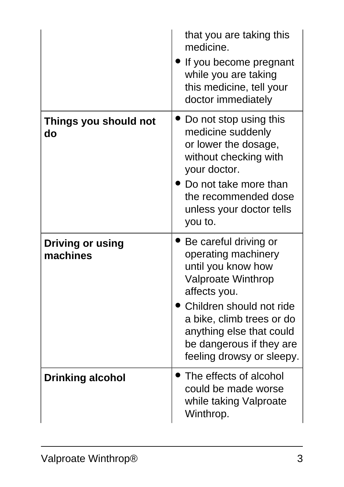|                                     | that you are taking this<br>medicine.<br>If you become pregnant<br>while you are taking<br>this medicine, tell your<br>doctor immediately                                                                                                                     |
|-------------------------------------|---------------------------------------------------------------------------------------------------------------------------------------------------------------------------------------------------------------------------------------------------------------|
| Things you should not<br>do         | Do not stop using this<br>medicine suddenly<br>or lower the dosage,<br>without checking with<br>your doctor.<br>Do not take more than<br>the recommended dose<br>unless your doctor tells<br>you to.                                                          |
| <b>Driving or using</b><br>machines | Be careful driving or<br>operating machinery<br>until you know how<br><b>Valproate Winthrop</b><br>affects you.<br>Children should not ride<br>a bike, climb trees or do<br>anything else that could<br>be dangerous if they are<br>feeling drowsy or sleepy. |
| <b>Drinking alcohol</b>             | The effects of alcohol<br>could be made worse<br>while taking Valproate<br>Winthrop.                                                                                                                                                                          |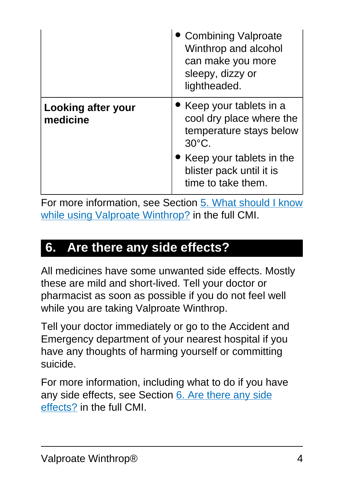|                                | • Combining Valproate<br>Winthrop and alcohol<br>can make you more<br>sleepy, dizzy or<br>lightheaded. |
|--------------------------------|--------------------------------------------------------------------------------------------------------|
| Looking after your<br>medicine | • Keep your tablets in a<br>cool dry place where the<br>temperature stays below<br>$30^{\circ}$ C.     |
|                                | Keep your tablets in the<br>blister pack until it is<br>time to take them.                             |

For more information, see Section [5. What should I know](#page-14-0) [while using Valproate Winthrop?](#page-14-0) in the full CMI.

### **6. Are there any side effects?**

All medicines have some unwanted side effects. Mostly these are mild and short-lived. Tell your doctor or pharmacist as soon as possible if you do not feel well while you are taking Valproate Winthrop.

Tell your doctor immediately or go to the Accident and Emergency department of your nearest hospital if you have any thoughts of harming yourself or committing suicide.

For more information, including what to do if you have any side effects, see Section [6. Are there any side](#page-17-0) [effects?](#page-17-0) in the full CMI.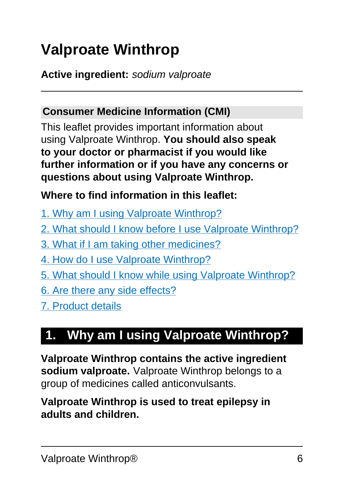# <span id="page-5-0"></span>**Valproate Winthrop**

**Active ingredient:** sodium valproate

#### **Consumer Medicine Information (CMI)**

This leaflet provides important information about using Valproate Winthrop. **You should also speak to your doctor or pharmacist if you would like further information or if you have any concerns or questions about using Valproate Winthrop.**

#### **Where to find information in this leaflet:**

- [1. Why am I using Valproate Winthrop?](#page-5-1)
- [2. What should I know before I use Valproate Winthrop?](#page-6-0)
- [3. What if I am taking other medicines?](#page-10-0)
- [4. How do I use Valproate Winthrop?](#page-12-0)
- [5. What should I know while using Valproate Winthrop?](#page-14-0)
- [6. Are there any side effects?](#page-17-0)
- [7. Product details](#page-21-0)

## <span id="page-5-1"></span>**1. Why am I using Valproate Winthrop?**

**Valproate Winthrop contains the active ingredient sodium valproate.** Valproate Winthrop belongs to a group of medicines called anticonvulsants.

#### **Valproate Winthrop is used to treat epilepsy in adults and children.**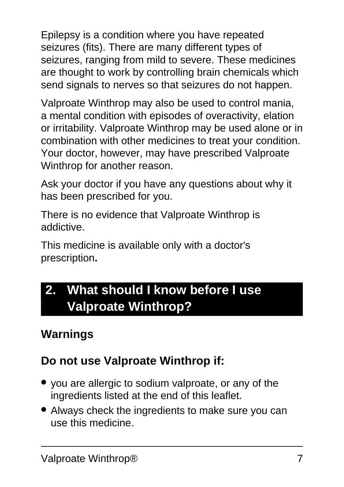Epilepsy is a condition where you have repeated seizures (fits). There are many different types of seizures, ranging from mild to severe. These medicines are thought to work by controlling brain chemicals which send signals to nerves so that seizures do not happen.

Valproate Winthrop may also be used to control mania, a mental condition with episodes of overactivity, elation or irritability. Valproate Winthrop may be used alone or in combination with other medicines to treat your condition. Your doctor, however, may have prescribed Valproate Winthrop for another reason.

Ask your doctor if you have any questions about why it has been prescribed for you.

There is no evidence that Valproate Winthrop is addictive.

This medicine is available only with a doctor's prescription**.**

## <span id="page-6-0"></span>**2. What should I know before I use Valproate Winthrop?**

#### **Warnings**

#### **Do not use Valproate Winthrop if:**

- you are allergic to sodium valproate, or any of the ingredients listed at the end of this leaflet.
- Always check the ingredients to make sure you can use this medicine.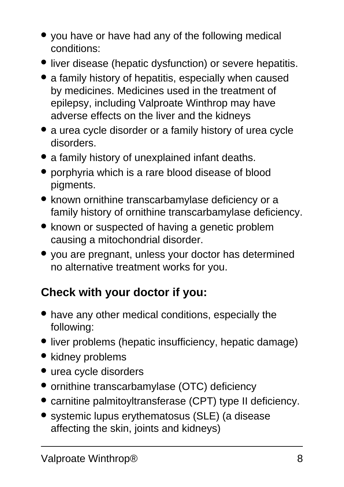- you have or have had any of the following medical conditions:
- liver disease (hepatic dysfunction) or severe hepatitis.
- a family history of hepatitis, especially when caused by medicines. Medicines used in the treatment of epilepsy, including Valproate Winthrop may have adverse effects on the liver and the kidneys
- a urea cycle disorder or a family history of urea cycle disorders.
- a family history of unexplained infant deaths.
- porphyria which is a rare blood disease of blood pigments.
- known ornithine transcarbamylase deficiency or a family history of ornithine transcarbamylase deficiency.
- known or suspected of having a genetic problem causing a mitochondrial disorder.
- you are pregnant, unless your doctor has determined no alternative treatment works for you.

### **Check with your doctor if you:**

- have any other medical conditions, especially the following:
- liver problems (hepatic insufficiency, hepatic damage)
- kidney problems
- urea cycle disorders
- ornithine transcarbamylase (OTC) deficiency
- carnitine palmitoyltransferase (CPT) type II deficiency.
- systemic lupus erythematosus (SLE) (a disease affecting the skin, joints and kidneys)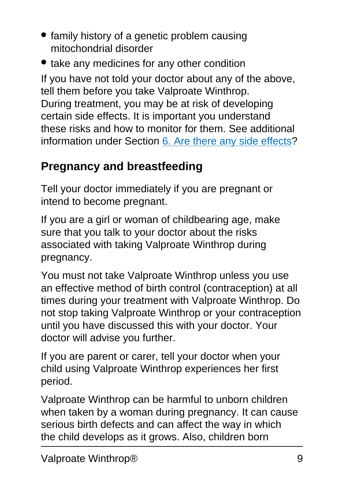- family history of a genetic problem causing mitochondrial disorder
- take any medicines for any other condition

If you have not told your doctor about any of the above, tell them before you take Valproate Winthrop. During treatment, you may be at risk of developing certain side effects. It is important you understand these risks and how to monitor for them. See additional information under Section [6. Are there any side effects](#page-17-0)?

### **Pregnancy and breastfeeding**

Tell your doctor immediately if you are pregnant or intend to become pregnant.

If you are a girl or woman of childbearing age, make sure that you talk to your doctor about the risks associated with taking Valproate Winthrop during pregnancy.

You must not take Valproate Winthrop unless you use an effective method of birth control (contraception) at all times during your treatment with Valproate Winthrop. Do not stop taking Valproate Winthrop or your contraception until you have discussed this with your doctor. Your doctor will advise you further.

If you are parent or carer, tell your doctor when your child using Valproate Winthrop experiences her first period.

Valproate Winthrop can be harmful to unborn children when taken by a woman during pregnancy. It can cause serious birth defects and can affect the way in which the child develops as it grows. Also, children born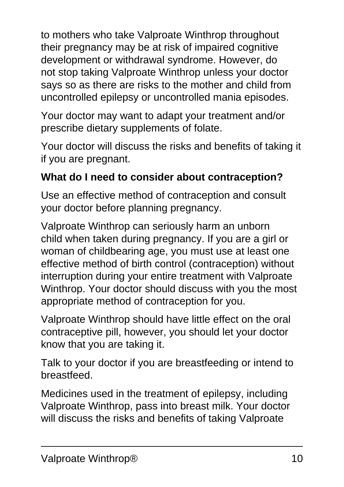to mothers who take Valproate Winthrop throughout their pregnancy may be at risk of impaired cognitive development or withdrawal syndrome. However, do not stop taking Valproate Winthrop unless your doctor says so as there are risks to the mother and child from uncontrolled epilepsy or uncontrolled mania episodes.

Your doctor may want to adapt your treatment and/or prescribe dietary supplements of folate.

Your doctor will discuss the risks and benefits of taking it if you are pregnant.

#### **What do I need to consider about contraception?**

Use an effective method of contraception and consult your doctor before planning pregnancy.

Valproate Winthrop can seriously harm an unborn child when taken during pregnancy. If you are a girl or woman of childbearing age, you must use at least one effective method of birth control (contraception) without interruption during your entire treatment with Valproate Winthrop. Your doctor should discuss with you the most appropriate method of contraception for you.

Valproate Winthrop should have little effect on the oral contraceptive pill, however, you should let your doctor know that you are taking it.

Talk to your doctor if you are breastfeeding or intend to breastfeed.

Medicines used in the treatment of epilepsy, including Valproate Winthrop, pass into breast milk. Your doctor will discuss the risks and benefits of taking Valproate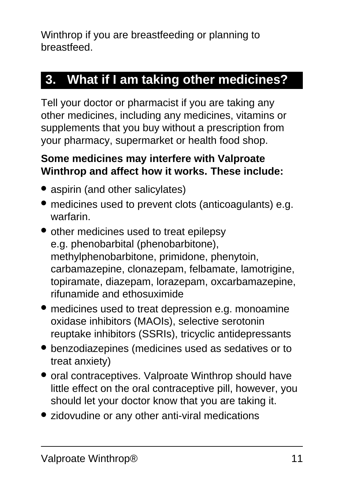Winthrop if you are breastfeeding or planning to breastfeed.

## <span id="page-10-0"></span>**3. What if I am taking other medicines?**

Tell your doctor or pharmacist if you are taking any other medicines, including any medicines, vitamins or supplements that you buy without a prescription from your pharmacy, supermarket or health food shop.

#### **Some medicines may interfere with Valproate Winthrop and affect how it works. These include:**

- aspirin (and other salicylates)
- medicines used to prevent clots (anticoagulants) e.g. warfarin.
- other medicines used to treat epilepsy e.g. phenobarbital (phenobarbitone), methylphenobarbitone, primidone, phenytoin, carbamazepine, clonazepam, felbamate, lamotrigine, topiramate, diazepam, lorazepam, oxcarbamazepine, rifunamide and ethosuximide
- medicines used to treat depression e.g. monoamine oxidase inhibitors (MAOIs), selective serotonin reuptake inhibitors (SSRIs), tricyclic antidepressants
- benzodiazepines (medicines used as sedatives or to treat anxiety)
- oral contraceptives. Valproate Winthrop should have little effect on the oral contraceptive pill, however, you should let your doctor know that you are taking it.
- zidovudine or any other anti-viral medications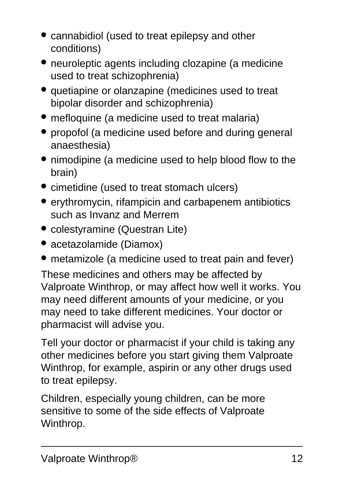- cannabidiol (used to treat epilepsy and other conditions)
- neuroleptic agents including clozapine (a medicine used to treat schizophrenia)
- quetiapine or olanzapine (medicines used to treat bipolar disorder and schizophrenia)
- mefloquine (a medicine used to treat malaria)
- propofol (a medicine used before and during general anaesthesia)
- nimodipine (a medicine used to help blood flow to the brain)
- cimetidine (used to treat stomach ulcers)
- erythromycin, rifampicin and carbapenem antibiotics such as Invanz and Merrem
- colestyramine (Questran Lite)
- acetazolamide (Diamox)
- metamizole (a medicine used to treat pain and fever)

These medicines and others may be affected by Valproate Winthrop, or may affect how well it works. You may need different amounts of your medicine, or you may need to take different medicines. Your doctor or pharmacist will advise you.

Tell your doctor or pharmacist if your child is taking any other medicines before you start giving them Valproate Winthrop, for example, aspirin or any other drugs used to treat epilepsy.

Children, especially young children, can be more sensitive to some of the side effects of Valproate Winthrop.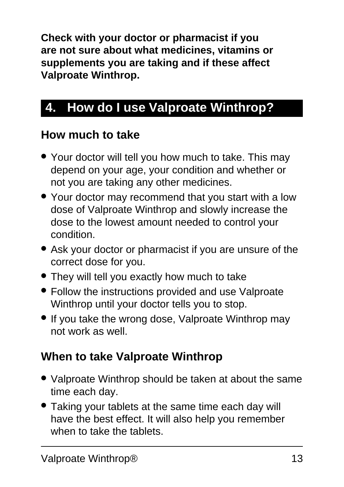**Check with your doctor or pharmacist if you are not sure about what medicines, vitamins or supplements you are taking and if these affect Valproate Winthrop.**

## <span id="page-12-0"></span>**4. How do I use Valproate Winthrop?**

#### **How much to take**

- Your doctor will tell you how much to take. This may depend on your age, your condition and whether or not you are taking any other medicines.
- Your doctor may recommend that you start with a low dose of Valproate Winthrop and slowly increase the dose to the lowest amount needed to control your condition.
- Ask your doctor or pharmacist if you are unsure of the correct dose for you.
- They will tell you exactly how much to take
- Follow the instructions provided and use Valproate Winthrop until your doctor tells you to stop.
- If you take the wrong dose, Valproate Winthrop may not work as well.

### **When to take Valproate Winthrop**

- Valproate Winthrop should be taken at about the same time each day.
- Taking your tablets at the same time each day will have the best effect. It will also help you remember when to take the tablets.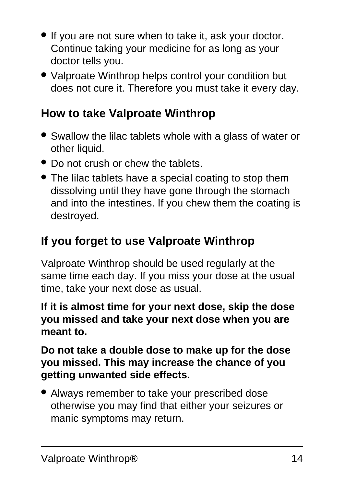- If you are not sure when to take it, ask your doctor. Continue taking your medicine for as long as your doctor tells you.
- Valproate Winthrop helps control your condition but does not cure it. Therefore you must take it every day.

### **How to take Valproate Winthrop**

- Swallow the lilac tablets whole with a glass of water or other liquid.
- Do not crush or chew the tablets.
- The lilac tablets have a special coating to stop them dissolving until they have gone through the stomach and into the intestines. If you chew them the coating is destroyed.

## **If you forget to use Valproate Winthrop**

Valproate Winthrop should be used regularly at the same time each day. If you miss your dose at the usual time, take your next dose as usual.

**If it is almost time for your next dose, skip the dose you missed and take your next dose when you are meant to.**

**Do not take a double dose to make up for the dose you missed. This may increase the chance of you getting unwanted side effects.**

● Always remember to take your prescribed dose otherwise you may find that either your seizures or manic symptoms may return.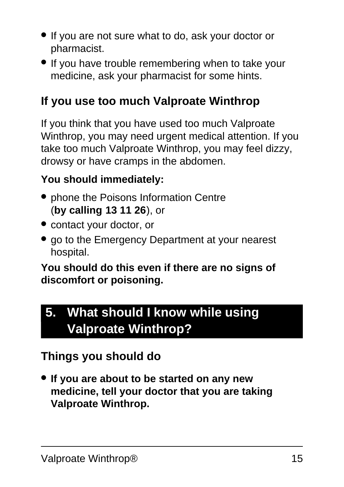- If you are not sure what to do, ask your doctor or pharmacist.
- If you have trouble remembering when to take your medicine, ask your pharmacist for some hints.

### **If you use too much Valproate Winthrop**

If you think that you have used too much Valproate Winthrop, you may need urgent medical attention. If you take too much Valproate Winthrop, you may feel dizzy, drowsy or have cramps in the abdomen.

#### **You should immediately:**

- phone the Poisons Information Centre (**by calling 13 11 26**), or
- contact your doctor, or
- go to the Emergency Department at your nearest hospital.

#### **You should do this even if there are no signs of discomfort or poisoning.**

## <span id="page-14-0"></span>**5. What should I know while using Valproate Winthrop?**

### **Things you should do**

● **If you are about to be started on any new medicine, tell your doctor that you are taking Valproate Winthrop.**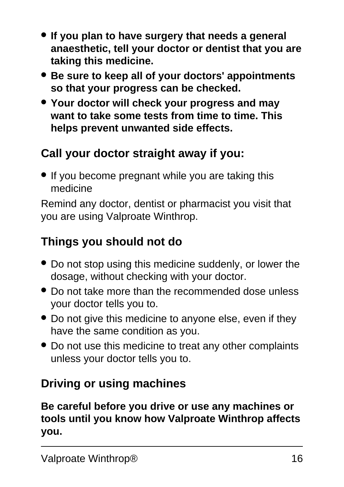- **If you plan to have surgery that needs a general anaesthetic, tell your doctor or dentist that you are taking this medicine.**
- **Be sure to keep all of your doctors' appointments so that your progress can be checked.**
- **Your doctor will check your progress and may want to take some tests from time to time. This helps prevent unwanted side effects.**

### **Call your doctor straight away if you:**

• If you become pregnant while you are taking this medicine

Remind any doctor, dentist or pharmacist you visit that you are using Valproate Winthrop.

#### **Things you should not do**

- Do not stop using this medicine suddenly, or lower the dosage, without checking with your doctor.
- Do not take more than the recommended dose unless your doctor tells you to.
- Do not give this medicine to anyone else, even if they have the same condition as you.
- Do not use this medicine to treat any other complaints unless your doctor tells you to.

#### **Driving or using machines**

**Be careful before you drive or use any machines or tools until you know how Valproate Winthrop affects you.**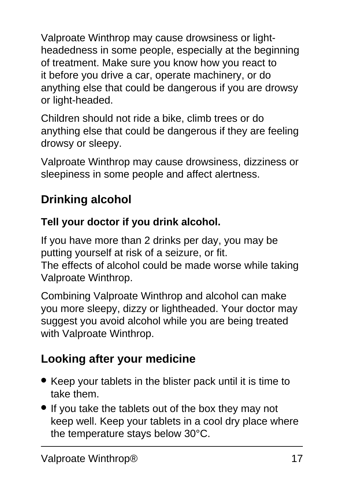Valproate Winthrop may cause drowsiness or lightheadedness in some people, especially at the beginning of treatment. Make sure you know how you react to it before you drive a car, operate machinery, or do anything else that could be dangerous if you are drowsy or light-headed.

Children should not ride a bike, climb trees or do anything else that could be dangerous if they are feeling drowsy or sleepy.

Valproate Winthrop may cause drowsiness, dizziness or sleepiness in some people and affect alertness.

## **Drinking alcohol**

#### **Tell your doctor if you drink alcohol.**

If you have more than 2 drinks per day, you may be putting yourself at risk of a seizure, or fit. The effects of alcohol could be made worse while taking

Valproate Winthrop.

Combining Valproate Winthrop and alcohol can make you more sleepy, dizzy or lightheaded. Your doctor may suggest you avoid alcohol while you are being treated with Valproate Winthrop.

## **Looking after your medicine**

- Keep your tablets in the blister pack until it is time to take them.
- If you take the tablets out of the box they may not keep well. Keep your tablets in a cool dry place where the temperature stays below 30°C.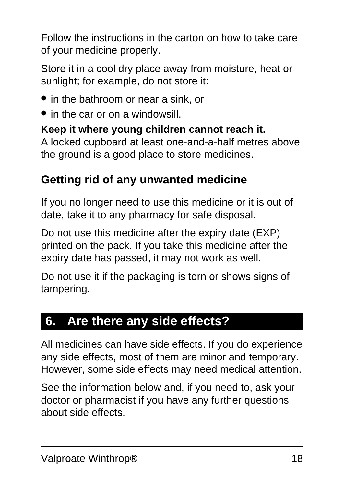Follow the instructions in the carton on how to take care of your medicine properly.

Store it in a cool dry place away from moisture, heat or sunlight; for example, do not store it:

- in the bathroom or near a sink, or
- in the car or on a windowsill.

**Keep it where young children cannot reach it.** A locked cupboard at least one-and-a-half metres above the ground is a good place to store medicines.

### **Getting rid of any unwanted medicine**

If you no longer need to use this medicine or it is out of date, take it to any pharmacy for safe disposal.

Do not use this medicine after the expiry date (EXP) printed on the pack. If you take this medicine after the expiry date has passed, it may not work as well.

Do not use it if the packaging is torn or shows signs of tampering.

### <span id="page-17-0"></span>**6. Are there any side effects?**

All medicines can have side effects. If you do experience any side effects, most of them are minor and temporary. However, some side effects may need medical attention.

See the information below and, if you need to, ask your doctor or pharmacist if you have any further questions about side effects.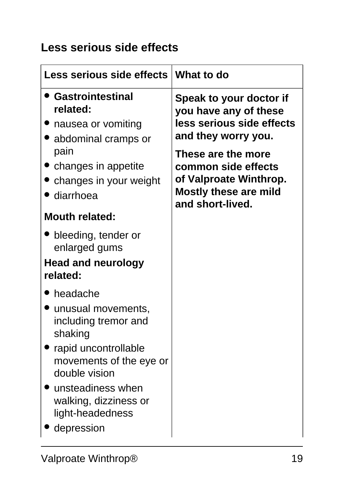#### **Less serious side effects**

| Less serious side effects                                                            | What to do                                                                                                              |
|--------------------------------------------------------------------------------------|-------------------------------------------------------------------------------------------------------------------------|
| <b>Gastrointestinal</b><br>related:<br>• nausea or vomiting<br>• abdominal cramps or | Speak to your doctor if<br>you have any of these<br>less serious side effects<br>and they worry you.                    |
| pain<br>• changes in appetite<br>changes in your weight<br>diarrhoea                 | These are the more<br>common side effects<br>of Valproate Winthrop.<br><b>Mostly these are mild</b><br>and short-lived. |
| <b>Mouth related:</b>                                                                |                                                                                                                         |
| • bleeding, tender or<br>enlarged gums                                               |                                                                                                                         |
| <b>Head and neurology</b><br>related:                                                |                                                                                                                         |
| headache                                                                             |                                                                                                                         |
| unusual movements,<br>including tremor and<br>shaking                                |                                                                                                                         |
| rapid uncontrollable<br>movements of the eye or<br>double vision                     |                                                                                                                         |
| unsteadiness when '<br>walking, dizziness or<br>light-headedness                     |                                                                                                                         |
| depression                                                                           |                                                                                                                         |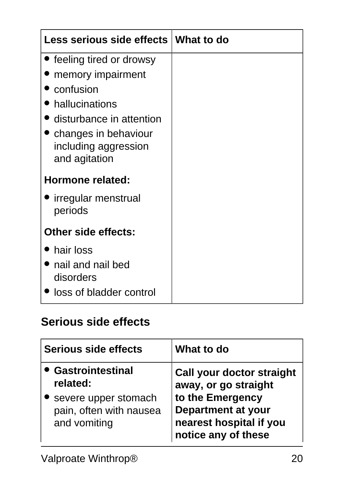| Less serious side effects                                               | What to do |
|-------------------------------------------------------------------------|------------|
| • feeling tired or drowsy                                               |            |
| memory impairment                                                       |            |
| confusion                                                               |            |
| hallucinations                                                          |            |
| disturbance in attention                                                |            |
| $\bullet$ changes in behaviour<br>including aggression<br>and agitation |            |
| Hormone related:                                                        |            |
| • irregular menstrual<br>periods                                        |            |
| <b>Other side effects:</b>                                              |            |
| hair loss                                                               |            |
| nail and nail bed<br>disorders                                          |            |
| loss of bladder control                                                 |            |

#### **Serious side effects**

| <b>Serious side effects</b>                                                                              | What to do                                                                                                                                                  |
|----------------------------------------------------------------------------------------------------------|-------------------------------------------------------------------------------------------------------------------------------------------------------------|
| <b>• Gastrointestinal</b><br>related:<br>severe upper stomach<br>pain, often with nausea<br>and vomiting | <b>Call your doctor straight</b><br>away, or go straight<br>to the Emergency<br><b>Department at your</b><br>nearest hospital if you<br>notice any of these |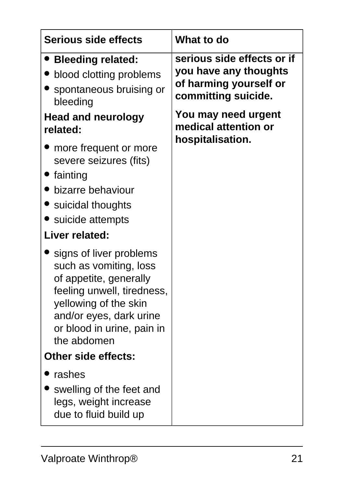| <b>Serious side effects</b>                                                                                                                                                                                | What to do                                                                                                                                          |
|------------------------------------------------------------------------------------------------------------------------------------------------------------------------------------------------------------|-----------------------------------------------------------------------------------------------------------------------------------------------------|
| <b>Bleeding related:</b><br>blood clotting problems<br>spontaneous bruising or<br>bleeding<br>Head and neurology<br>related:                                                                               | serious side effects or if<br>you have any thoughts<br>of harming yourself or<br>committing suicide.<br>You may need urgent<br>medical attention or |
| more frequent or more<br>severe seizures (fits)<br>fainting<br>bizarre behaviour<br>• suicidal thoughts<br>suicide attempts<br>Liver related:                                                              | hospitalisation.                                                                                                                                    |
| signs of liver problems<br>such as vomiting, loss<br>of appetite, generally<br>feeling unwell, tiredness,<br>yellowing of the skin<br>and/or eyes, dark urine<br>or blood in urine, pain in<br>the abdomen |                                                                                                                                                     |
| <b>Other side effects:</b>                                                                                                                                                                                 |                                                                                                                                                     |
| rashes<br>swelling of the feet and<br>legs, weight increase<br>due to fluid build up                                                                                                                       |                                                                                                                                                     |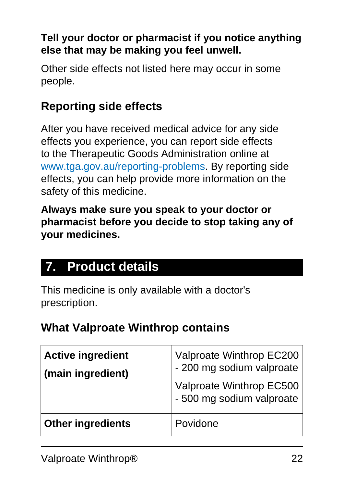#### **Tell your doctor or pharmacist if you notice anything else that may be making you feel unwell.**

Other side effects not listed here may occur in some people.

#### **Reporting side effects**

After you have received medical advice for any side effects you experience, you can report side effects to the Therapeutic Goods Administration online at [www.tga.gov.au/reporting-problems.](http://www.tga.gov.au/reporting-problems) By reporting side effects, you can help provide more information on the safety of this medicine.

**Always make sure you speak to your doctor or pharmacist before you decide to stop taking any of your medicines.**

### <span id="page-21-0"></span>**7. Product details**

This medicine is only available with a doctor's prescription.

#### **What Valproate Winthrop contains**

| <b>Active ingredient</b><br>(main ingredient) | Valproate Winthrop EC200<br>- 200 mg sodium valproate<br>Valproate Winthrop EC500<br>- 500 mg sodium valproate |
|-----------------------------------------------|----------------------------------------------------------------------------------------------------------------|
| <b>Other ingredients</b>                      | Povidone                                                                                                       |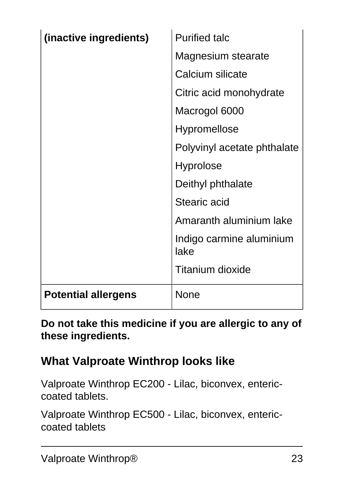| (inactive ingredients)     | <b>Purified talc</b>             |
|----------------------------|----------------------------------|
|                            | Magnesium stearate               |
|                            | Calcium silicate                 |
|                            | Citric acid monohydrate          |
|                            | Macrogol 6000                    |
|                            | <b>Hypromellose</b>              |
|                            | Polyvinyl acetate phthalate      |
|                            | <b>Hyprolose</b>                 |
|                            | Deithyl phthalate                |
|                            | <b>Stearic acid</b>              |
|                            | Amaranth aluminium lake          |
|                            | Indigo carmine aluminium<br>lake |
|                            | <b>Titanium dioxide</b>          |
| <b>Potential allergens</b> | None                             |

**Do not take this medicine if you are allergic to any of these ingredients.**

#### **What Valproate Winthrop looks like**

Valproate Winthrop EC200 - Lilac, biconvex, entericcoated tablets.

Valproate Winthrop EC500 - Lilac, biconvex, entericcoated tablets